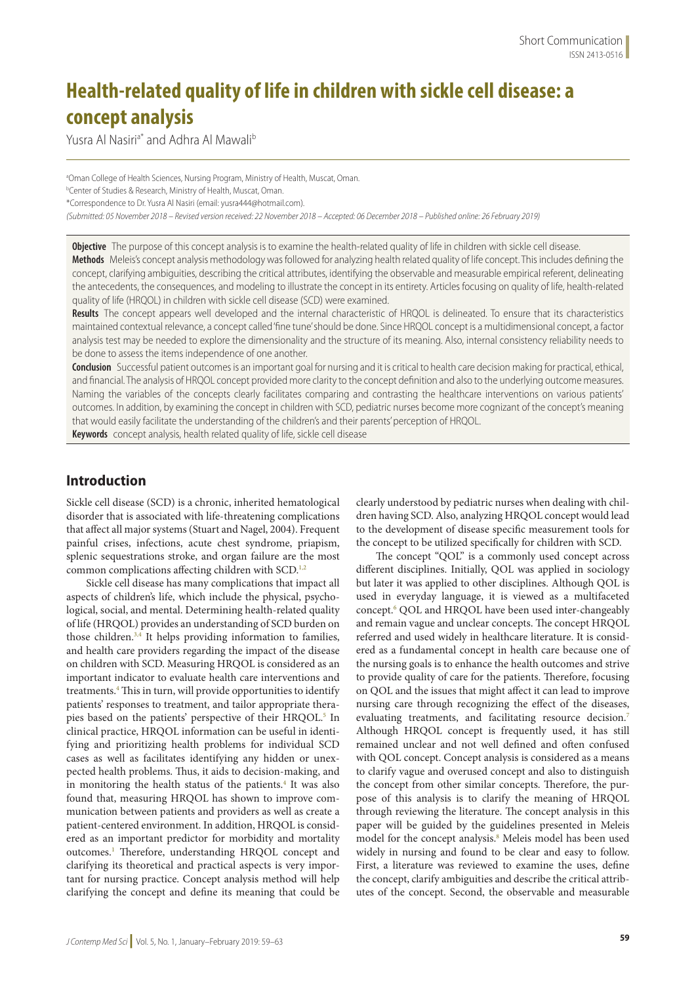# **Health-related quality of life in children with sickle cell disease: a concept analysis**

Yusra Al Nasiri<sup>a\*</sup> and Adhra Al Mawali<sup>b</sup>

<sup>a</sup>Oman College of Health Sciences, Nursing Program, Ministry of Health, Muscat, Oman. b Center of Studies & Research, Ministry of Health, Muscat, Oman. \*Correspondence to Dr. Yusra Al Nasiri (email: yusra444@hotmail.com). *(Submitted: 05 November 2018 – Revised version received: 22 November 2018 – Accepted: 06 December 2018 – Published online: 26 February 2019)*

**Objective** The purpose of this concept analysis is to examine the health-related quality of life in children with sickle cell disease.

**Methods** Meleis's concept analysis methodology was followed for analyzing health related quality of life concept. This includes defining the concept, clarifying ambiguities, describing the critical attributes, identifying the observable and measurable empirical referent, delineating the antecedents, the consequences, and modeling to illustrate the concept in its entirety. Articles focusing on quality of life, health-related quality of life (HRQOL) in children with sickle cell disease (SCD) were examined.

**Results** The concept appears well developed and the internal characteristic of HRQOL is delineated. To ensure that its characteristics maintained contextual relevance, a concept called 'fine tune' should be done. Since HRQOL concept is a multidimensional concept, a factor analysis test may be needed to explore the dimensionality and the structure of its meaning. Also, internal consistency reliability needs to be done to assess the items independence of one another.

**Conclusion** Successful patient outcomes is an important goal for nursing and it is critical to health care decision making for practical, ethical, and financial. The analysis of HRQOL concept provided more clarity to the concept definition and also to the underlying outcome measures. Naming the variables of the concepts clearly facilitates comparing and contrasting the healthcare interventions on various patients' outcomes. In addition, by examining the concept in children with SCD, pediatric nurses become more cognizant of the concept's meaning that would easily facilitate the understanding of the children's and their parents' perception of HRQOL.

**Keywords** concept analysis, health related quality of life, sickle cell disease

# **Introduction**

Sickle cell disease (SCD) is a chronic, inherited hematological disorder that is associated with life-threatening complications that affect all major systems (Stuart and Nagel, 2004). Frequent painful crises, infections, acute chest syndrome, priapism, splenic sequestrations stroke, and organ failure are the most common complications affecting children with SCD.<sup>1,2</sup>

Sickle cell disease has many complications that impact all aspects of children's life, which include the physical, psychological, social, and mental. Determining health-related quality of life (HRQOL) provides an understanding of SCD burden on those children.3,4 It helps providing information to families, and health care providers regarding the impact of the disease on children with SCD. Measuring HRQOL is considered as an important indicator to evaluate health care interventions and treatments.<sup>4</sup> This in turn, will provide opportunities to identify patients' responses to treatment, and tailor appropriate therapies based on the patients' perspective of their HRQOL.<sup>5</sup> In clinical practice, HRQOL information can be useful in identifying and prioritizing health problems for individual SCD cases as well as facilitates identifying any hidden or unexpected health problems. Thus, it aids to decision-making, and in monitoring the health status of the patients.<sup>4</sup> It was also found that, measuring HRQOL has shown to improve communication between patients and providers as well as create a patient-centered environment. In addition, HRQOL is considered as an important predictor for morbidity and mortality outcomes.<sup>1</sup> Therefore, understanding HRQOL concept and clarifying its theoretical and practical aspects is very important for nursing practice. Concept analysis method will help clarifying the concept and define its meaning that could be

clearly understood by pediatric nurses when dealing with children having SCD. Also, analyzing HRQOL concept would lead to the development of disease specific measurement tools for the concept to be utilized specifically for children with SCD.

The concept "QOL" is a commonly used concept across different disciplines. Initially, QOL was applied in sociology but later it was applied to other disciplines. Although QOL is used in everyday language, it is viewed as a multifaceted concept.<sup>6</sup> QOL and HRQOL have been used inter-changeably and remain vague and unclear concepts. The concept HRQOL referred and used widely in healthcare literature. It is considered as a fundamental concept in health care because one of the nursing goals is to enhance the health outcomes and strive to provide quality of care for the patients. Therefore, focusing on QOL and the issues that might affect it can lead to improve nursing care through recognizing the effect of the diseases, evaluating treatments, and facilitating resource decision.<sup>7</sup> Although HRQOL concept is frequently used, it has still remained unclear and not well defined and often confused with QOL concept. Concept analysis is considered as a means to clarify vague and overused concept and also to distinguish the concept from other similar concepts. Therefore, the purpose of this analysis is to clarify the meaning of HRQOL through reviewing the literature. The concept analysis in this paper will be guided by the guidelines presented in Meleis model for the concept analysis.<sup>8</sup> Meleis model has been used widely in nursing and found to be clear and easy to follow. First, a literature was reviewed to examine the uses, define the concept, clarify ambiguities and describe the critical attributes of the concept. Second, the observable and measurable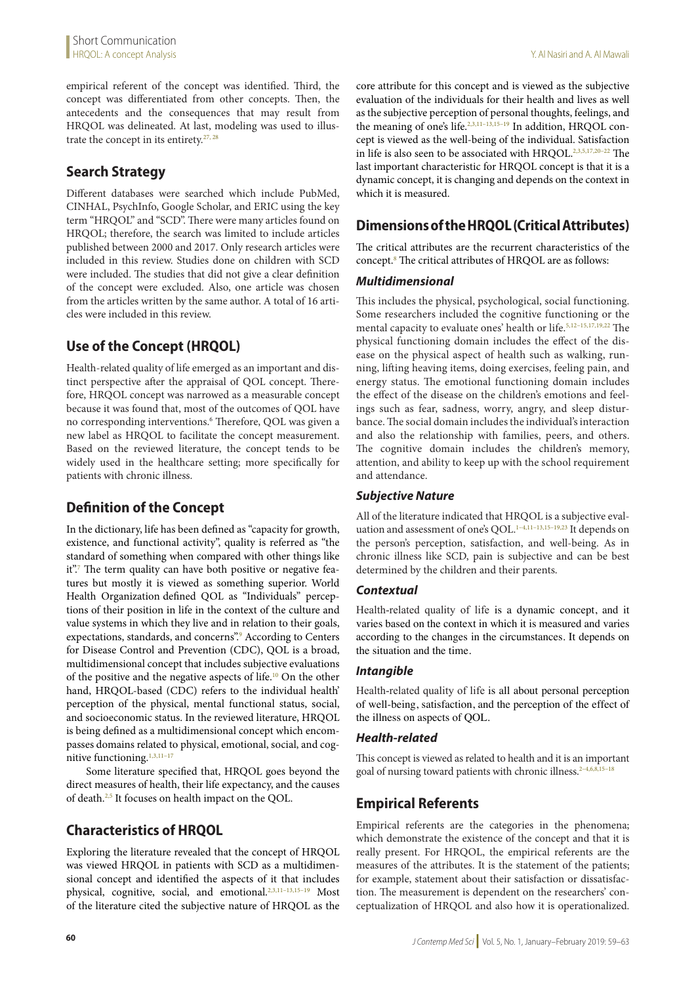empirical referent of the concept was identified. Third, the concept was differentiated from other concepts. Then, the antecedents and the consequences that may result from HRQOL was delineated. At last, modeling was used to illustrate the concept in its entirety. $27, 28$ 

# **Search Strategy**

Different databases were searched which include PubMed, CINHAL, PsychInfo, Google Scholar, and ERIC using the key term "HRQOL" and "SCD". There were many articles found on HRQOL; therefore, the search was limited to include articles published between 2000 and 2017. Only research articles were included in this review. Studies done on children with SCD were included. The studies that did not give a clear definition of the concept were excluded. Also, one article was chosen from the articles written by the same author. A total of 16 articles were included in this review.

# **Use of the Concept (HRQOL)**

Health-related quality of life emerged as an important and distinct perspective after the appraisal of QOL concept. Therefore, HRQOL concept was narrowed as a measurable concept because it was found that, most of the outcomes of QOL have no corresponding interventions.<sup>6</sup> Therefore, QOL was given a new label as HRQOL to facilitate the concept measurement. Based on the reviewed literature, the concept tends to be widely used in the healthcare setting; more specifically for patients with chronic illness.

# **Definition of the Concept**

In the dictionary, life has been defined as "capacity for growth, existence, and functional activity", quality is referred as "the standard of something when compared with other things like it".<sup>7</sup> The term quality can have both positive or negative features but mostly it is viewed as something superior. World Health Organization defined QOL as "Individuals" perceptions of their position in life in the context of the culture and value systems in which they live and in relation to their goals, expectations, standards, and concerns". According to Centers for Disease Control and Prevention (CDC), QOL is a broad, multidimensional concept that includes subjective evaluations of the positive and the negative aspects of life.10 On the other hand, HRQOL-based (CDC) refers to the individual health' perception of the physical, mental functional status, social, and socioeconomic status. In the reviewed literature, HRQOL is being defined as a multidimensional concept which encompasses domains related to physical, emotional, social, and cognitive functioning.<sup>1,3,11-17</sup>

Some literature specified that, HRQOL goes beyond the direct measures of health, their life expectancy, and the causes of death.2,5 It focuses on health impact on the QOL.

# **Characteristics of HRQOL**

Exploring the literature revealed that the concept of HRQOL was viewed HRQOL in patients with SCD as a multidimensional concept and identified the aspects of it that includes physical, cognitive, social, and emotional.<sup>2,3,11-13,15-19</sup> Most of the literature cited the subjective nature of HRQOL as the core attribute for this concept and is viewed as the subjective evaluation of the individuals for their health and lives as well as the subjective perception of personal thoughts, feelings, and the meaning of one's life.<sup>2,3,11–13,15–19</sup> In addition, HRQOL concept is viewed as the well-being of the individual. Satisfaction in life is also seen to be associated with HRQOL.<sup>2,3,5,17,20-22</sup> The last important characteristic for HRQOL concept is that it is a dynamic concept, it is changing and depends on the context in which it is measured.

# **Dimensions of the HRQOL (Critical Attributes)**

The critical attributes are the recurrent characteristics of the concept.8 The critical attributes of HRQOL are as follows:

### *Multidimensional*

This includes the physical, psychological, social functioning. Some researchers included the cognitive functioning or the mental capacity to evaluate ones' health or life.<sup>5,12-15,17,19,22</sup> The physical functioning domain includes the effect of the disease on the physical aspect of health such as walking, running, lifting heaving items, doing exercises, feeling pain, and energy status. The emotional functioning domain includes the effect of the disease on the children's emotions and feelings such as fear, sadness, worry, angry, and sleep disturbance. The social domain includes the individual's interaction and also the relationship with families, peers, and others. The cognitive domain includes the children's memory, attention, and ability to keep up with the school requirement and attendance.

# *Subjective Nature*

All of the literature indicated that HRQOL is a subjective evaluation and assessment of one's QOL.<sup>1-4,11-13,15-19,23</sup> It depends on the person's perception, satisfaction, and well-being. As in chronic illness like SCD, pain is subjective and can be best determined by the children and their parents.

### *Contextual*

Health-related quality of life is a dynamic concept, and it varies based on the context in which it is measured and varies according to the changes in the circumstances. It depends on the situation and the time.

### *Intangible*

Health-related quality of life is all about personal perception of well-being, satisfaction, and the perception of the effect of the illness on aspects of QOL.

### *Health-related*

This concept is viewed as related to health and it is an important goal of nursing toward patients with chronic illness.<sup>2-4,6,8,15-18</sup>

# **Empirical Referents**

Empirical referents are the categories in the phenomena; which demonstrate the existence of the concept and that it is really present. For HRQOL, the empirical referents are the measures of the attributes. It is the statement of the patients; for example, statement about their satisfaction or dissatisfaction. The measurement is dependent on the researchers' conceptualization of HRQOL and also how it is operationalized.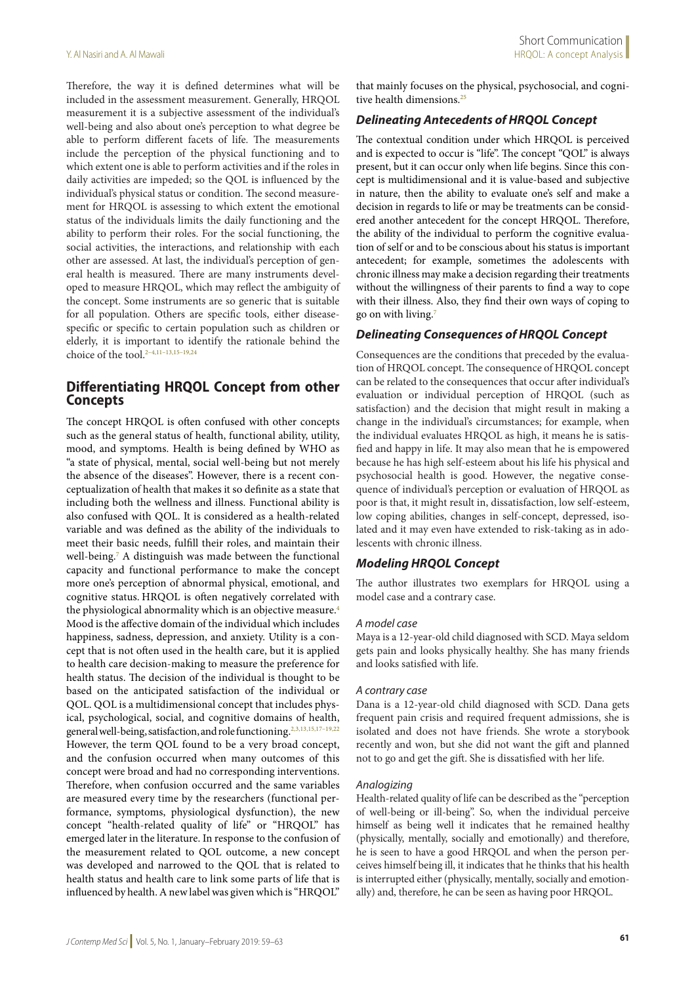Therefore, the way it is defined determines what will be included in the assessment measurement. Generally, HRQOL measurement it is a subjective assessment of the individual's well-being and also about one's perception to what degree be able to perform different facets of life. The measurements include the perception of the physical functioning and to which extent one is able to perform activities and if the roles in daily activities are impeded; so the QOL is influenced by the individual's physical status or condition. The second measurement for HRQOL is assessing to which extent the emotional status of the individuals limits the daily functioning and the ability to perform their roles. For the social functioning, the social activities, the interactions, and relationship with each other are assessed. At last, the individual's perception of general health is measured. There are many instruments developed to measure HRQOL, which may reflect the ambiguity of the concept. Some instruments are so generic that is suitable for all population. Others are specific tools, either diseasespecific or specific to certain population such as children or elderly, it is important to identify the rationale behind the choice of the tool.<sup>2-4,11-13,15-19,24</sup>

### **Differentiating HRQOL Concept from other Concepts**

The concept HRQOL is often confused with other concepts such as the general status of health, functional ability, utility, mood, and symptoms. Health is being defined by WHO as "a state of physical, mental, social well-being but not merely the absence of the diseases". However, there is a recent conceptualization of health that makes it so definite as a state that including both the wellness and illness. Functional ability is also confused with QOL. It is considered as a health-related variable and was defined as the ability of the individuals to meet their basic needs, fulfill their roles, and maintain their well-being.7 A distinguish was made between the functional capacity and functional performance to make the concept more one's perception of abnormal physical, emotional, and cognitive status. HRQOL is often negatively correlated with the physiological abnormality which is an objective measure.<sup>4</sup> Mood is the affective domain of the individual which includes happiness, sadness, depression, and anxiety. Utility is a concept that is not often used in the health care, but it is applied to health care decision-making to measure the preference for health status. The decision of the individual is thought to be based on the anticipated satisfaction of the individual or QOL. QOL is a multidimensional concept that includes physical, psychological, social, and cognitive domains of health, general well-being, satisfaction, and role functioning.2,3,13,15,17–19,22 However, the term QOL found to be a very broad concept, and the confusion occurred when many outcomes of this concept were broad and had no corresponding interventions. Therefore, when confusion occurred and the same variables are measured every time by the researchers (functional performance, symptoms, physiological dysfunction), the new concept "health-related quality of life" or "HRQOL" has emerged later in the literature. In response to the confusion of the measurement related to QOL outcome, a new concept was developed and narrowed to the QOL that is related to health status and health care to link some parts of life that is influenced by health. A new label was given which is "HRQOL"

that mainly focuses on the physical, psychosocial, and cognitive health dimensions.<sup>25</sup>

#### *Delineating Antecedents of HRQOL Concept*

The contextual condition under which HRQOL is perceived and is expected to occur is "life". The concept "QOL" is always present, but it can occur only when life begins. Since this concept is multidimensional and it is value-based and subjective in nature, then the ability to evaluate one's self and make a decision in regards to life or may be treatments can be considered another antecedent for the concept HRQOL. Therefore, the ability of the individual to perform the cognitive evaluation of self or and to be conscious about his status is important antecedent; for example, sometimes the adolescents with chronic illness may make a decision regarding their treatments without the willingness of their parents to find a way to cope with their illness. Also, they find their own ways of coping to go on with living.7

#### *Delineating Consequences of HRQOL Concept*

Consequences are the conditions that preceded by the evaluation of HRQOL concept. The consequence of HRQOL concept can be related to the consequences that occur after individual's evaluation or individual perception of HRQOL (such as satisfaction) and the decision that might result in making a change in the individual's circumstances; for example, when the individual evaluates HRQOL as high, it means he is satisfied and happy in life. It may also mean that he is empowered because he has high self-esteem about his life his physical and psychosocial health is good. However, the negative consequence of individual's perception or evaluation of HRQOL as poor is that, it might result in, dissatisfaction, low self-esteem, low coping abilities, changes in self-concept, depressed, isolated and it may even have extended to risk-taking as in adolescents with chronic illness.

#### *Modeling HRQOL Concept*

The author illustrates two exemplars for HRQOL using a model case and a contrary case.

#### *A model case*

Maya is a 12-year-old child diagnosed with SCD. Maya seldom gets pain and looks physically healthy. She has many friends and looks satisfied with life.

#### *A contrary case*

Dana is a 12-year-old child diagnosed with SCD. Dana gets frequent pain crisis and required frequent admissions, she is isolated and does not have friends. She wrote a storybook recently and won, but she did not want the gift and planned not to go and get the gift. She is dissatisfied with her life.

#### *Analogizing*

Health-related quality of life can be described as the "perception of well-being or ill-being". So, when the individual perceive himself as being well it indicates that he remained healthy (physically, mentally, socially and emotionally) and therefore, he is seen to have a good HRQOL and when the person perceives himself being ill, it indicates that he thinks that his health is interrupted either (physically, mentally, socially and emotionally) and, therefore, he can be seen as having poor HRQOL.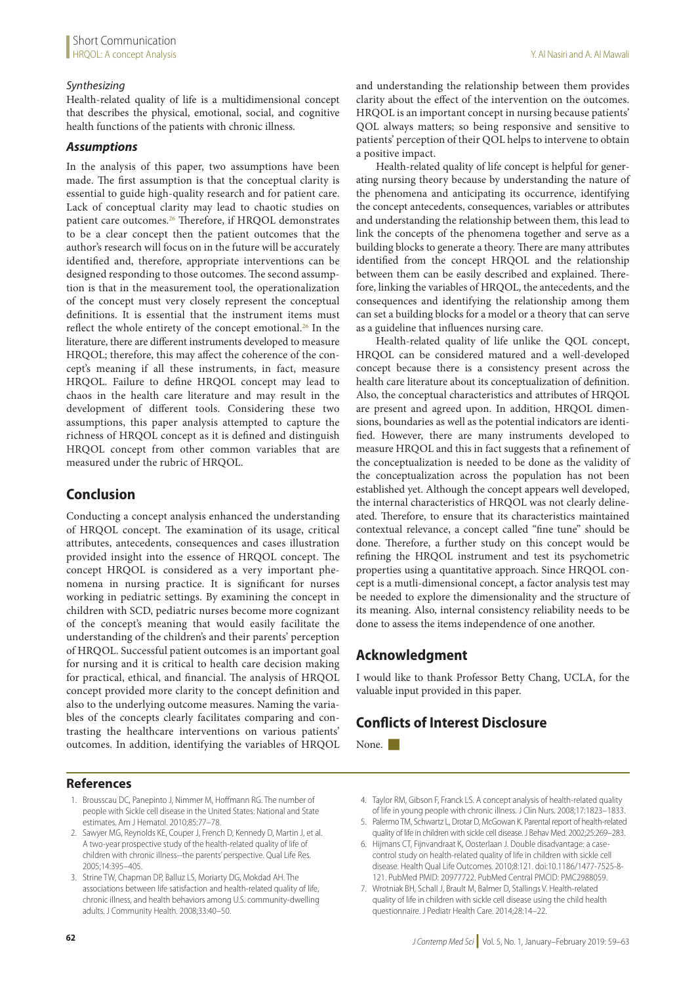### *Synthesizing*

Health-related quality of life is a multidimensional concept that describes the physical, emotional, social, and cognitive health functions of the patients with chronic illness.

### *Assumptions*

In the analysis of this paper, two assumptions have been made. The first assumption is that the conceptual clarity is essential to guide high-quality research and for patient care. Lack of conceptual clarity may lead to chaotic studies on patient care outcomes.<sup>26</sup> Therefore, if HRQOL demonstrates to be a clear concept then the patient outcomes that the author's research will focus on in the future will be accurately identified and, therefore, appropriate interventions can be designed responding to those outcomes. The second assumption is that in the measurement tool, the operationalization of the concept must very closely represent the conceptual definitions. It is essential that the instrument items must reflect the whole entirety of the concept emotional.<sup>26</sup> In the literature, there are different instruments developed to measure HRQOL; therefore, this may affect the coherence of the concept's meaning if all these instruments, in fact, measure HRQOL. Failure to define HRQOL concept may lead to chaos in the health care literature and may result in the development of different tools. Considering these two assumptions, this paper analysis attempted to capture the richness of HRQOL concept as it is defined and distinguish HRQOL concept from other common variables that are measured under the rubric of HRQOL.

# **Conclusion**

Conducting a concept analysis enhanced the understanding of HRQOL concept. The examination of its usage, critical attributes, antecedents, consequences and cases illustration provided insight into the essence of HRQOL concept. The concept HRQOL is considered as a very important phenomena in nursing practice. It is significant for nurses working in pediatric settings. By examining the concept in children with SCD, pediatric nurses become more cognizant of the concept's meaning that would easily facilitate the understanding of the children's and their parents' perception of HRQOL. Successful patient outcomes is an important goal for nursing and it is critical to health care decision making for practical, ethical, and financial. The analysis of HRQOL concept provided more clarity to the concept definition and also to the underlying outcome measures. Naming the variables of the concepts clearly facilitates comparing and contrasting the healthcare interventions on various patients' outcomes. In addition, identifying the variables of HRQOL and understanding the relationship between them provides clarity about the effect of the intervention on the outcomes. HRQOL is an important concept in nursing because patients' QOL always matters; so being responsive and sensitive to patients' perception of their QOL helps to intervene to obtain a positive impact.

Health-related quality of life concept is helpful for generating nursing theory because by understanding the nature of the phenomena and anticipating its occurrence, identifying the concept antecedents, consequences, variables or attributes and understanding the relationship between them, this lead to link the concepts of the phenomena together and serve as a building blocks to generate a theory. There are many attributes identified from the concept HRQOL and the relationship between them can be easily described and explained. Therefore, linking the variables of HRQOL, the antecedents, and the consequences and identifying the relationship among them can set a building blocks for a model or a theory that can serve as a guideline that influences nursing care.

Health-related quality of life unlike the QOL concept, HRQOL can be considered matured and a well-developed concept because there is a consistency present across the health care literature about its conceptualization of definition. Also, the conceptual characteristics and attributes of HRQOL are present and agreed upon. In addition, HRQOL dimensions, boundaries as well as the potential indicators are identified. However, there are many instruments developed to measure HRQOL and this in fact suggests that a refinement of the conceptualization is needed to be done as the validity of the conceptualization across the population has not been established yet. Although the concept appears well developed, the internal characteristics of HRQOL was not clearly delineated. Therefore, to ensure that its characteristics maintained contextual relevance, a concept called "fine tune" should be done. Therefore, a further study on this concept would be refining the HRQOL instrument and test its psychometric properties using a quantitative approach. Since HRQOL concept is a mutli-dimensional concept, a factor analysis test may be needed to explore the dimensionality and the structure of its meaning. Also, internal consistency reliability needs to be done to assess the items independence of one another.

# **Acknowledgment**

I would like to thank Professor Betty Chang, UCLA, for the valuable input provided in this paper.

# **Conflicts of Interest Disclosure**

None.

### **References**

- 1. Brousscau DC, Panepinto J, Nimmer M, Hoffmann RG. The number of people with Sickle cell disease in the United States: National and State estimates. Am J Hematol. 2010;85:77–78.
- 2. Sawyer MG, Reynolds KE, Couper J, French D, Kennedy D, Martin J, et al. A two-year prospective study of the health-related quality of life of children with chronic illness--the parents' perspective. Qual Life Res. 2005;14:395–405.
- 3. Strine TW, Chapman DP, Balluz LS, Moriarty DG, Mokdad AH. The associations between life satisfaction and health-related quality of life, chronic illness, and health behaviors among U.S. community-dwelling adults. J Community Health. 2008;33:40–50.
- 4. Taylor RM, Gibson F, Franck LS. A concept analysis of health-related quality of life in young people with chronic illness. J Clin Nurs. 2008;17:1823–1833.
- 5. Palermo TM, Schwartz L, Drotar D, McGowan K. Parental report of health-related quality of life in children with sickle cell disease. J Behav Med. 2002;25:269–283.
- 6. Hijmans CT, Fijnvandraat K, Oosterlaan J. Double disadvantage: a casecontrol study on health-related quality of life in children with sickle cell disease. Health Qual Life Outcomes. 2010;8:121. doi:10.1186/1477-7525-8- 121. PubMed PMID: 20977722. PubMed Central PMCID: PMC2988059.
- 7. Wrotniak BH, Schall J, Brault M, Balmer D, Stallings V. Health-related quality of life in children with sickle cell disease using the child health questionnaire. J Pediatr Health Care. 2014;28:14–22.